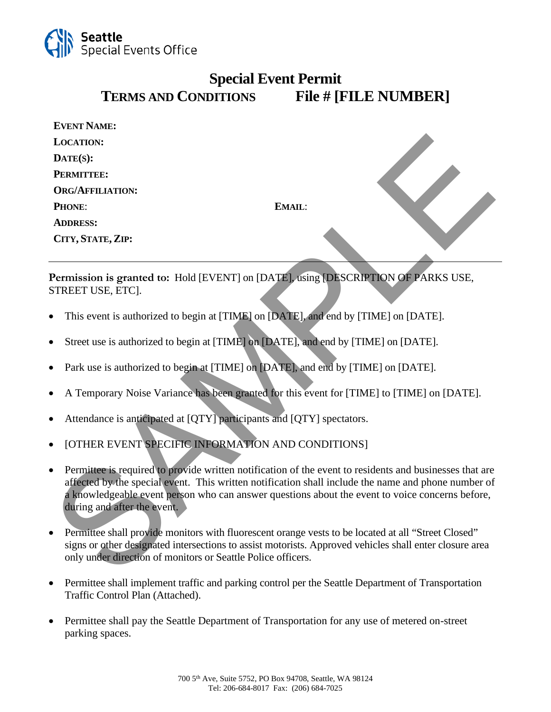

## **Special Event Permit TERMS AND CONDITIONS File # [FILE NUMBER]**

| <b>EVENT NAME:</b>                                                                                                                                                                                                                                                                                                                                            |        |  |
|---------------------------------------------------------------------------------------------------------------------------------------------------------------------------------------------------------------------------------------------------------------------------------------------------------------------------------------------------------------|--------|--|
| <b>LOCATION:</b>                                                                                                                                                                                                                                                                                                                                              |        |  |
| DATE(S):                                                                                                                                                                                                                                                                                                                                                      |        |  |
| PERMITTEE:                                                                                                                                                                                                                                                                                                                                                    |        |  |
| <b>ORG/AFFILIATION:</b>                                                                                                                                                                                                                                                                                                                                       |        |  |
| PHONE:                                                                                                                                                                                                                                                                                                                                                        | EMAIL: |  |
| <b>ADDRESS:</b>                                                                                                                                                                                                                                                                                                                                               |        |  |
| CITY, STATE, ZIP:                                                                                                                                                                                                                                                                                                                                             |        |  |
| Permission is granted to: Hold [EVENT] on [DATE], using [DESCRIPTION OF PARKS USE,<br>STREET USE, ETC].                                                                                                                                                                                                                                                       |        |  |
| This event is authorized to begin at [TIME] on [DATE], and end by [TIME] on [DATE].<br>$\bullet$                                                                                                                                                                                                                                                              |        |  |
| Street use is authorized to begin at [TIME] on [DATE], and end by [TIME] on [DATE].<br>$\bullet$                                                                                                                                                                                                                                                              |        |  |
| Park use is authorized to begin at [TIME] on [DATE], and end by [TIME] on [DATE].                                                                                                                                                                                                                                                                             |        |  |
| A Temporary Noise Variance has been granted for this event for [TIME] to [TIME] on [DATE].<br>$\bullet$                                                                                                                                                                                                                                                       |        |  |
| Attendance is anticipated at [QTY] participants and [QTY] spectators.<br>$\bullet$                                                                                                                                                                                                                                                                            |        |  |
| [OTHER EVENT SPECIFIC INFORMATION AND CONDITIONS]<br>$\bullet$                                                                                                                                                                                                                                                                                                |        |  |
| Permittee is required to provide written notification of the event to residents and businesses that are<br>$\bullet$<br>affected by the special event. This written notification shall include the name and phone number of<br>a knowledgeable event person who can answer questions about the event to voice concerns before,<br>during and after the event. |        |  |
| Permittee shall provide monitors with fluorescent orange vests to be located at all "Street Closed"<br>$\bullet$<br>signs or other designated intersections to assist motorists. Approved vehicles shall enter closure area<br>only under direction of monitors or Seattle Police officers.                                                                   |        |  |

- This event is authorized to begin at [TIME] on [DATE], and end by [TIME] on [DATE].
- Street use is authorized to begin at [TIME] on [DATE], and end by [TIME] on [DATE].
- Park use is authorized to begin at [TIME] on [DATE], and end by [TIME] on [DATE].
- A Temporary Noise Variance has been granted for this event for [TIME] to [TIME] on [DATE].
- Attendance is anticipated at [QTY] participants and [QTY] spectators.
- [OTHER EVENT SPECIFIC INFORMATION AND CONDITIONS]
- Permittee is required to provide written notification of the event to residents and businesses that are affected by the special event. This written notification shall include the name and phone number of a knowledgeable event person who can answer questions about the event to voice concerns before, during and after the event.
- Permittee shall provide monitors with fluorescent orange vests to be located at all "Street Closed" signs or other designated intersections to assist motorists. Approved vehicles shall enter closure area only under direction of monitors or Seattle Police officers.
- Permittee shall implement traffic and parking control per the Seattle Department of Transportation Traffic Control Plan (Attached).
- Permittee shall pay the Seattle Department of Transportation for any use of metered on-street parking spaces.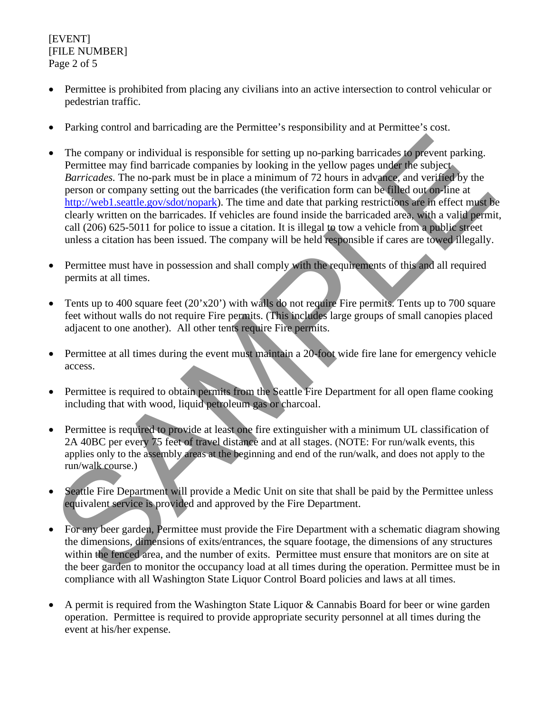[EVENT] [FILE NUMBER] Page 2 of 5

- Permittee is prohibited from placing any civilians into an active intersection to control vehicular or pedestrian traffic.
- Parking control and barricading are the Permittee's responsibility and at Permittee's cost.
- The company or individual is responsible for setting up no-parking barricades to prevent parking. Permittee may find barricade companies by looking in the yellow pages under the subject *Barricades.* The no-park must be in place a minimum of 72 hours in advance, and verified by the person or company setting out the barricades (the verification form can be filled out on-line at http://web1.seattle.gov/sdot/nopark). The time and date that parking restrictions are in effect must be clearly written on the barricades. If vehicles are found inside the barricaded area, with a valid permit, call (206) 625-5011 for police to issue a citation. It is illegal to tow a vehicle from a public street unless a citation has been issued. The company will be held responsible if cares are towed illegally. The company or individual is responsible for setting up no-parking harricades to prevent parking.<br>
Permittee may find harricade companies by looking in the yellow pages under the subject-<br> *Borricades*. The two-park must
- Permittee must have in possession and shall comply with the requirements of this and all required permits at all times.
- Tents up to 400 square feet  $(20'x20')$  with walls do not require Fire permits. Tents up to 700 square feet without walls do not require Fire permits. (This includes large groups of small canopies placed adjacent to one another). All other tents require Fire permits.
- Permittee at all times during the event must maintain a 20-foot wide fire lane for emergency vehicle access.
- Permittee is required to obtain permits from the Seattle Fire Department for all open flame cooking including that with wood, liquid petroleum gas or charcoal.
- Permittee is required to provide at least one fire extinguisher with a minimum UL classification of 2A 40BC per every 75 feet of travel distance and at all stages. (NOTE: For run/walk events, this applies only to the assembly areas at the beginning and end of the run/walk, and does not apply to the run/walk course.)
- Seattle Fire Department will provide a Medic Unit on site that shall be paid by the Permittee unless equivalent service is provided and approved by the Fire Department.
- For any beer garden, Permittee must provide the Fire Department with a schematic diagram showing the dimensions, dimensions of exits/entrances, the square footage, the dimensions of any structures within the fenced area, and the number of exits. Permittee must ensure that monitors are on site at the beer garden to monitor the occupancy load at all times during the operation. Permittee must be in compliance with all Washington State Liquor Control Board policies and laws at all times.
- A permit is required from the Washington State Liquor & Cannabis Board for beer or wine garden operation. Permittee is required to provide appropriate security personnel at all times during the event at his/her expense.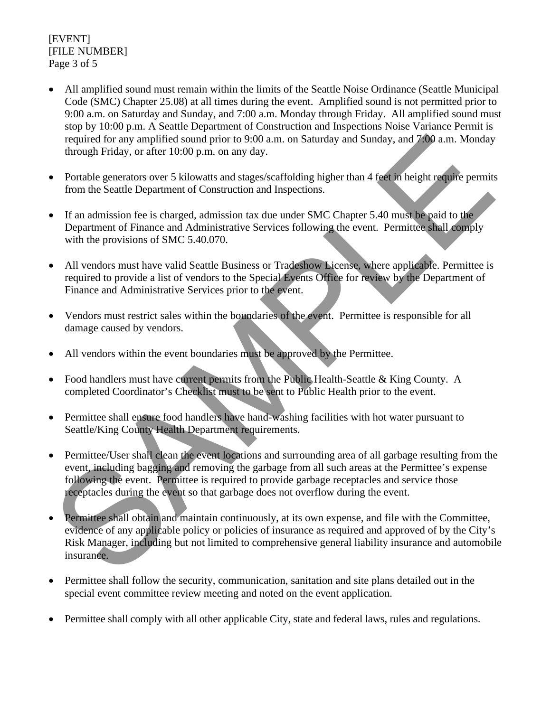[EVENT] [FILE NUMBER] Page 3 of 5

- All amplified sound must remain within the limits of the Seattle Noise Ordinance (Seattle Municipal Code (SMC) Chapter 25.08) at all times during the event. Amplified sound is not permitted prior to 9:00 a.m. on Saturday and Sunday, and 7:00 a.m. Monday through Friday. All amplified sound must stop by 10:00 p.m. A Seattle Department of Construction and Inspections Noise Variance Permit is required for any amplified sound prior to 9:00 a.m. on Saturday and Sunday, and 7:00 a.m. Monday through Friday, or after 10:00 p.m. on any day.
- Portable generators over 5 kilowatts and stages/scaffolding higher than 4 feet in height require permits from the Seattle Department of Construction and Inspections.
- If an admission fee is charged, admission tax due under SMC Chapter 5.40 must be paid to the Department of Finance and Administrative Services following the event. Permittee shall comply with the provisions of SMC 5.40.070.
- All vendors must have valid Seattle Business or Tradeshow License, where applicable. Permittee is required to provide a list of vendors to the Special Events Office for review by the Department of Finance and Administrative Services prior to the event.
- Vendors must restrict sales within the boundaries of the event. Permittee is responsible for all damage caused by vendors.
- All vendors within the event boundaries must be approved by the Permittee.
- Food handlers must have current permits from the Public Health-Seattle & King County. A completed Coordinator's Checklist must to be sent to Public Health prior to the event.
- Permittee shall ensure food handlers have hand-washing facilities with hot water pursuant to Seattle/King County Health Department requirements.
- Permittee/User shall clean the event locations and surrounding area of all garbage resulting from the event, including bagging and removing the garbage from all such areas at the Permittee's expense following the event. Permittee is required to provide garbage receptacles and service those receptacles during the event so that garbage does not overflow during the event.
- Permittee shall obtain and maintain continuously, at its own expense, and file with the Committee, evidence of any applicable policy or policies of insurance as required and approved of by the City's Risk Manager, including but not limited to comprehensive general liability insurance and automobile insurance. required for any amplified sound prior to 9:00 a.m. on Saturday and Sunday, and 7:00 a.m. Monday<br>trough Friday, or after 10:00 p.m. on any day.<br>
<br>
• Portable generators over 5 kilowats and stages/scaffolding higher than 4
- Permittee shall follow the security, communication, sanitation and site plans detailed out in the special event committee review meeting and noted on the event application.
- Permittee shall comply with all other applicable City , state and federal laws, rules and regulations.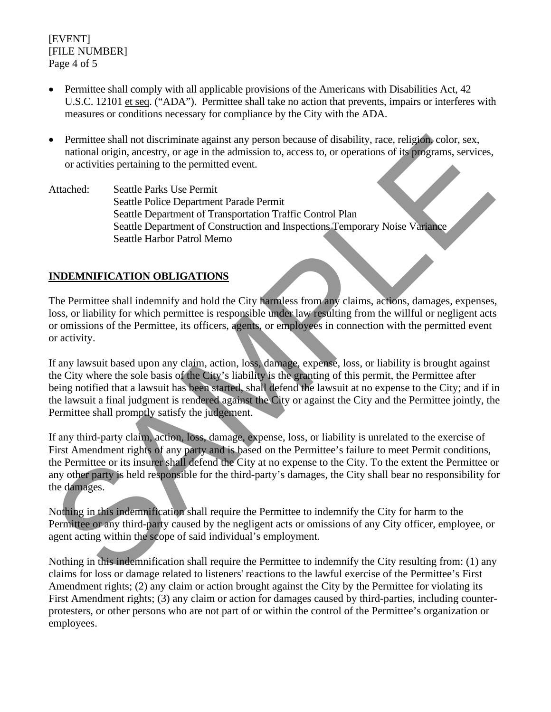[EVENT] [FILE NUMBER] Page 4 of 5

- Permittee shall comply with all applicable provisions of the Americans with Disabilities Act, 42 U.S.C. 12101 et seq. ("ADA"). Permittee shall take no action that prevents, impairs or interferes with measures or conditions necessary for compliance by the City with the ADA.
- Permittee shall not discriminate against any person because of disability, race, religion, color, sex, national origin, ancestry, or age in the admission to, access to, or operations of its programs, services, or activities pertaining to the permitted event.
- Attached: Seattle Parks Use Permit Seattle Police Department Parade Permit Seattle Department of Transportation Traffic Control Plan Seattle Department of Construction and Inspections Temporary Noise Variance Seattle Harbor Patrol Memo

## **INDEMNIFICATION OBLIGATIONS**

The Permittee shall indemnify and hold the City harmless from any claims, actions, damages, expenses, loss, or liability for which permittee is responsible under law resulting from the willful or negligent acts or omissions of the Permittee, its officers, agents, or employees in connection with the permitted event or activity.

If any lawsuit based upon any claim, action, loss, damage, expense, loss, or liability is brought against the City where the sole basis of the City's liability is the granting of this permit, the Permittee after being notified that a lawsuit has been started, shall defend the lawsuit at no expense to the City; and if in the lawsuit a final judgment is rendered against the City or against the City and the Permittee jointly, the Permittee shall promptly satisfy the judgement.

If any third-party claim, action, loss, damage, expense, loss, or liability is unrelated to the exercise of First Amendment rights of any party and is based on the Permittee's failure to meet Permit conditions, the Permittee or its insurer shall defend the City at no expense to the City. To the extent the Permittee or any other party is held responsible for the third-party's damages, the City shall bear no responsibility for the damages. • Permittee shall not discriminate against any person because of disability, race, religion condens, services,<br>national origin, ancestry, or age in the admission to, access to, or operations of its programs, services,<br>or a

Nothing in this indemnification shall require the Permittee to indemnify the City for harm to the Permittee or any third-party caused by the negligent acts or omissions of any City officer, employee, or agent acting within the scope of said individual's employment.

Nothing in this indemnification shall require the Permittee to indemnify the City resulting from: (1) any claims for loss or damage related to listeners' reactions to the lawful exercise of the Permittee's First Amendment rights; (2) any claim or action brought against the City by the Permittee for violating its First Amendment rights; (3) any claim or action for damages caused by third-parties, including counterprotesters, or other persons who are not part of or within the control of the Permittee's organization or employees.